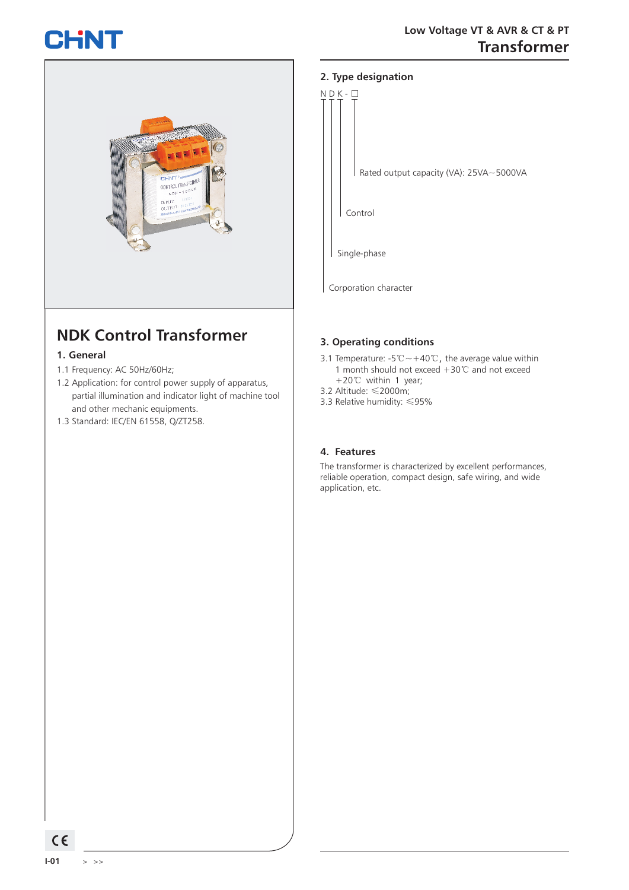# CHNT



## **NDK Control Transformer**

#### **1. General**

- 1.1 Frequency: AC 50Hz/60Hz;
- 1.2 Application: for control power supply of apparatus, partial illumination and indicator light of machine tool and other mechanic equipments.
- 1.3 Standard: IEC/EN 61558, Q/ZT258.

#### **2. Type designation**



Corporation character

#### **3. Operating conditions**

- 3.1 Temperature: -5℃~+40℃, the average value within 1 month should not exceed +30℃ and not exceed +20℃ within 1 year;
- 3.2 Altitude: ≤2000m;
- 3.3 Relative humidity: ≤95%

#### **4. Features**

The transformer is characterized by excellent performances, reliable operation, compact design, safe wiring, and wide application, etc.

 $C \in$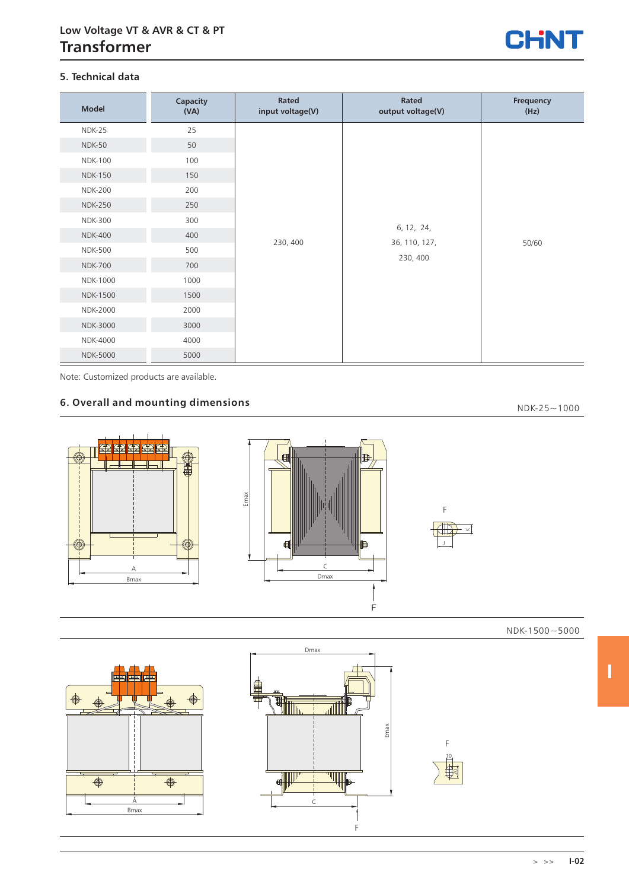

#### **5. Technical data**

| <b>Model</b>    | Capacity<br>(VA) | Rated<br>input voltage(V) | Rated<br>output voltage(V)              | Frequency<br>(Hz) |
|-----------------|------------------|---------------------------|-----------------------------------------|-------------------|
| NDK-25          | 25               | 230, 400                  | 6, 12, 24,<br>36, 110, 127,<br>230, 400 | 50/60             |
| <b>NDK-50</b>   | 50               |                           |                                         |                   |
| <b>NDK-100</b>  | 100              |                           |                                         |                   |
| <b>NDK-150</b>  | 150              |                           |                                         |                   |
| <b>NDK-200</b>  | 200              |                           |                                         |                   |
| <b>NDK-250</b>  | 250              |                           |                                         |                   |
| <b>NDK-300</b>  | 300              |                           |                                         |                   |
| <b>NDK-400</b>  | 400              |                           |                                         |                   |
| <b>NDK-500</b>  | 500              |                           |                                         |                   |
| <b>NDK-700</b>  | 700              |                           |                                         |                   |
| NDK-1000        | 1000             |                           |                                         |                   |
| <b>NDK-1500</b> | 1500             |                           |                                         |                   |
| NDK-2000        | 2000             |                           |                                         |                   |
| NDK-3000        | 3000             |                           |                                         |                   |
| NDK-4000        | 4000             |                           |                                         |                   |
| <b>NDK-5000</b> | 5000             |                           |                                         |                   |

Note: Customized products are available.

#### **6. Overall and mounting dimensions**

 $NDK-25 \sim 1000$ 



NDK-1500~5000

**I**





F 10  $\Xi$ 

> >> **I-02**